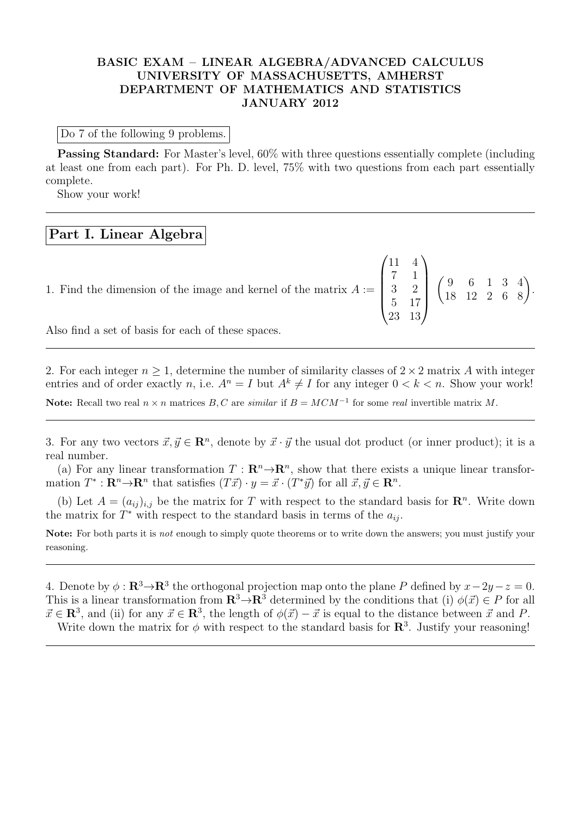## BASIC EXAM – LINEAR ALGEBRA/ADVANCED CALCULUS UNIVERSITY OF MASSACHUSETTS, AMHERST DEPARTMENT OF MATHEMATICS AND STATISTICS JANUARY 2012

Do 7 of the following 9 problems.

Passing Standard: For Master's level, 60% with three questions essentially complete (including at least one from each part). For Ph. D. level, 75% with two questions from each part essentially complete.

Show your work!

## Part I. Linear Algebra

1. Find the dimension of the image and kernel of the matrix  $A :=$  $\sqrt{ }$  $\overline{\phantom{a}}$ 11 4 7 1 3 2 5 17 23 13  $\setminus$  $\begin{pmatrix} 9 & 6 & 1 & 3 & 4 \\ 18 & 12 & 2 & 6 & 8 \end{pmatrix}$ .

Also find a set of basis for each of these spaces.

2. For each integer  $n \geq 1$ , determine the number of similarity classes of  $2 \times 2$  matrix A with integer entries and of order exactly n, i.e.  $A^n = I$  but  $A^k \neq I$  for any integer  $0 < k < n$ . Show your work! Note: Recall two real  $n \times n$  matrices  $B, C$  are similar if  $B = MCM^{-1}$  for some real invertible matrix M.

3. For any two vectors  $\vec{x}, \vec{y} \in \mathbb{R}^n$ , denote by  $\vec{x} \cdot \vec{y}$  the usual dot product (or inner product); it is a real number.

(a) For any linear transformation  $T : \mathbb{R}^n \to \mathbb{R}^n$ , show that there exists a unique linear transformation  $T^*: \mathbf{R}^n \to \mathbf{R}^n$  that satisfies  $(T\vec{x}) \cdot y = \vec{x} \cdot (T^*\vec{y})$  for all  $\vec{x}, \vec{y} \in \mathbf{R}^n$ .

(b) Let  $A = (a_{ij})_{i,j}$  be the matrix for T with respect to the standard basis for  $\mathbb{R}^n$ . Write down the matrix for  $T^*$  with respect to the standard basis in terms of the  $a_{ij}$ .

Note: For both parts it is *not* enough to simply quote theorems or to write down the answers; you must justify your reasoning.

4. Denote by  $\phi : \mathbf{R}^3 \to \mathbf{R}^3$  the orthogonal projection map onto the plane P defined by  $x - 2y - z = 0$ . This is a linear transformation from  $\mathbb{R}^3 \to \mathbb{R}^3$  determined by the conditions that (i)  $\phi(\vec{x}) \in P$  for all  $\vec{x} \in \mathbb{R}^3$ , and (ii) for any  $\vec{x} \in \mathbb{R}^3$ , the length of  $\phi(\vec{x}) - \vec{x}$  is equal to the distance between  $\vec{x}$  and P. Write down the matrix for  $\phi$  with respect to the standard basis for  $\mathbb{R}^3$ . Justify your reasoning!